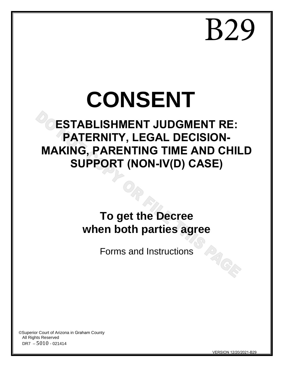B29

# **CONSENT**

# **ESTABLISHMENT JUDGMENT RE: PATERNITY, LEGAL DECISION-MAKING, PARENTING TIME AND CHILD SUPPORT (NON-IV(D) CASE)**

# **To get the Decree when both parties agree**

Forms and Instructions

©Superior Court of Arizona in Graham County All Rights Reserved DR7 – 5010 - 021414

VERSION 12/20/2021-B29

PAGE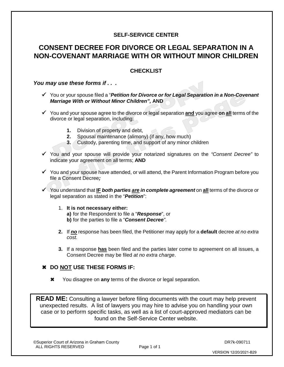#### **SELF-SERVICE CENTER**

## **CONSENT DECREE FOR DIVORCE OR LEGAL SEPARATION IN A NON-COVENANT MARRIAGE WITH OR WITHOUT MINOR CHILDREN**

#### **CHECKLIST**

#### *You may use these forms if . . .*

- You or your spouse filed a "*Petition for Divorce or for Legal Separation in a Non-Covenant Marriage With or Without Minor Children",* **AND**
- You and your spouse agree to the divorce or legal separation **and** you agree **on all** terms of the divorce or legal separation, including:
	- **1.** Division of property and debt,
	- **2.** Spousal maintenance (alimony) (if any, how much)
	- **3.** Custody, parenting time, and support of any minor children
- You and your spouse will provide your notarized signatures on the *"Consent Decree"* to indicate your agreement on all terms; **AND**
- $\checkmark$  You and your spouse have attended, or will attend, the Parent Information Program before you file a Consent Decree*;*
- You understand that **IF** *both parties are in complete agreement* on **all** terms of the divorce or legal separation as stated in the "*Petition*":
	- 1. **It is not necessary either: a)** for the Respondent to file a "*Response*", or **b)** for the parties to file a "*Consent Decree"*.
	- **2.** If *no* response has been filed, the Petitioner may apply for a **default** decree *at no extra cost.*
	- **3.** If a response **has** been filed and the parties later come to agreement on all issues, a Consent Decree may be filed *at no extra charge*.

#### **DO NOT USE THESE FORMS IF:**

You disagree on **any** terms of the divorce or legal separation.

**READ ME:** Consulting a lawyer before filing documents with the court may help prevent unexpected results. A list of lawyers you may hire to advise you on handling your own case or to perform specific tasks, as well as a list of court-approved mediators can be found on the Self-Service Center website.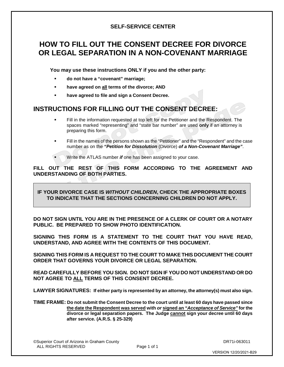#### **SELF-SERVICE CENTER**

# **HOW TO FILL OUT THE CONSENT DECREE FOR DIVORCE OR LEGAL SEPARATION IN A NON-COVENANT MARRIAGE**

**You may use these instructions ONLY if you and the other party:**

- **do not have a "covenant" marriage;**
- **have agreed on all terms of the divorce; AND**
- **have agreed to file and sign a Consent Decree.**

## **INSTRUCTIONS FOR FILLING OUT THE CONSENT DECREE:**

- Fill in the information requested at top left for the Petitioner and the Respondent. The spaces marked "representing" and "state bar number" are used **only** if an attorney is preparing this form.
- Fill in the names of the persons shown as the "Petitioner" and the "Respondent" and the case number as on the *"Petition for Dissolution* (Divorce) *of a Non-Covenant Marriage"*.
- Write the ATLAS number *if* one has been assigned to your case.

**FILL OUT THE REST OF THIS FORM ACCORDING TO THE AGREEMENT AND UNDERSTANDING OF BOTH PARTIES.** 

**IF YOUR DIVORCE CASE IS** *WITHOUT CHILDREN***, CHECK THE APPROPRIATE BOXES TO INDICATE THAT THE SECTIONS CONCERNING CHILDREN DO NOT APPLY.**

**DO NOT SIGN UNTIL YOU ARE IN THE PRESENCE OF A CLERK OF COURT OR A NOTARY PUBLIC. BE PREPARED TO SHOW PHOTO IDENTIFICATION.**

**SIGNING THIS FORM IS A STATEMENT TO THE COURT THAT YOU HAVE READ, UNDERSTAND, AND AGREE WITH THE CONTENTS OF THIS DOCUMENT.** 

**SIGNING THIS FORM IS A REQUEST TO THE COURT TO MAKE THIS DOCUMENT THE COURT ORDER THAT GOVERNS YOUR DIVORCE OR LEGAL SEPARATION.**

**READ CAREFULLY BEFORE YOU SIGN. DO NOT SIGN IF YOU DO NOT UNDERSTAND OR DO NOT AGREE TO ALL TERMS OF THIS CONSENT DECREE.**

**LAWYER SIGNATURES: If either party is represented by an attorney, the attorney(s) must also sign.**

**TIME FRAME: Do not submit the Consent Decree to the court until at least 60 days have passed since the date the Respondent was served with** *or* **signed an** *"Acceptance of Service"* **for the divorce or legal separation papers. The Judge cannot sign your decree until 60 days after service. (A.R.S. § 25-329)**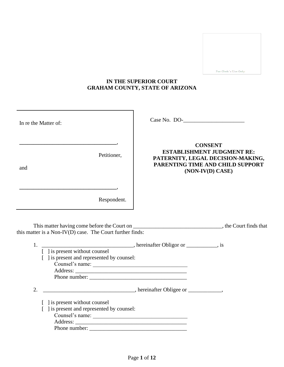For Clerk's Use Only

#### **IN THE SUPERIOR COURT GRAHAM COUNTY, STATE OF ARIZONA**

| In re the Matter of:                                                                                                                           | Case No. DO-                                                                                                                                     |
|------------------------------------------------------------------------------------------------------------------------------------------------|--------------------------------------------------------------------------------------------------------------------------------------------------|
| Petitioner,<br>and                                                                                                                             | <b>CONSENT</b><br><b>ESTABLISHMENT JUDGMENT RE:</b><br>PATERNITY, LEGAL DECISION-MAKING,<br>PARENTING TIME AND CHILD SUPPORT<br>(NON-IV(D) CASE) |
| Respondent.                                                                                                                                    |                                                                                                                                                  |
| this matter is a Non-IV(D) case. The Court further finds:                                                                                      |                                                                                                                                                  |
| $\lceil$ 1 is present without counsel<br>[ ] is present and represented by counsel:<br>Counsel's name:                                         |                                                                                                                                                  |
| 2.<br>[ ] is present without counsel<br>[ ] is present and represented by counsel:<br>$\frac{\text{Counsel's name:}}{\text{Counsel's name: }}$ |                                                                                                                                                  |
|                                                                                                                                                |                                                                                                                                                  |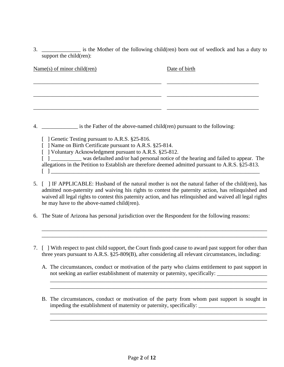3. \_\_\_\_\_\_\_\_\_\_\_\_\_\_ is the Mother of the following child(ren) born out of wedlock and has a duty to support the child(ren):

| $Name(s)$ of minor child(ren)                                                               | Date of birth |
|---------------------------------------------------------------------------------------------|---------------|
|                                                                                             |               |
|                                                                                             |               |
|                                                                                             |               |
|                                                                                             |               |
| 4. _________________ is the Father of the above-named child(ren) pursuant to the following: |               |
|                                                                                             |               |

[ ] Genetic Testing pursuant to A.R.S. §25-816.

[ ] Name on Birth Certificate pursuant to A.R.S. §25-814.

[ ] Voluntary Acknowledgment pursuant to A.R.S. §25-812.

[ ] \_\_\_\_\_\_\_\_\_\_\_ was defaulted and/or had personal notice of the hearing and failed to appear. The allegations in the Petition to Establish are therefore deemed admitted pursuant to A.R.S. §25-813. [ ] \_\_\_\_\_\_\_\_\_\_\_\_\_\_\_\_\_\_\_\_\_\_\_\_\_\_\_\_\_\_\_\_\_\_\_\_\_\_\_\_\_\_\_\_\_\_\_\_\_\_\_\_\_\_\_\_\_\_\_\_\_\_\_\_\_\_\_\_\_\_\_\_\_\_\_

- 5. [ ] IF APPLICABLE: Husband of the natural mother is not the natural father of the child(ren), has admitted non-paternity and waiving his rights to contest the paternity action, has relinquished and waived all legal rights to contest this paternity action, and has relinquished and waived all legal rights he may have to the above-named child(ren).
- 6. The State of Arizona has personal jurisdiction over the Respondent for the following reasons:
- 7. [ ] With respect to past child support, the Court finds good cause to award past support for other than three years pursuant to A.R.S. §25-809(B), after considering all relevant circumstances, including:

\_\_\_\_\_\_\_\_\_\_\_\_\_\_\_\_\_\_\_\_\_\_\_\_\_\_\_\_\_\_\_\_\_\_\_\_\_\_\_\_\_\_\_\_\_\_\_\_\_\_\_\_\_\_\_\_\_\_\_\_\_\_\_\_\_\_\_\_\_\_\_\_\_\_\_\_\_\_\_\_\_ \_\_\_\_\_\_\_\_\_\_\_\_\_\_\_\_\_\_\_\_\_\_\_\_\_\_\_\_\_\_\_\_\_\_\_\_\_\_\_\_\_\_\_\_\_\_\_\_\_\_\_\_\_\_\_\_\_\_\_\_\_\_\_\_\_\_\_\_\_\_\_\_\_\_\_\_\_\_\_\_\_

A. The circumstances, conduct or motivation of the party who claims entitlement to past support in not seeking an earlier establishment of maternity or paternity, specifically:

\_\_\_\_\_\_\_\_\_\_\_\_\_\_\_\_\_\_\_\_\_\_\_\_\_\_\_\_\_\_\_\_\_\_\_\_\_\_\_\_\_\_\_\_\_\_\_\_\_\_\_\_\_\_\_\_\_\_\_\_\_\_\_\_\_\_\_\_\_\_\_\_\_\_\_\_\_\_ \_\_\_\_\_\_\_\_\_\_\_\_\_\_\_\_\_\_\_\_\_\_\_\_\_\_\_\_\_\_\_\_\_\_\_\_\_\_\_\_\_\_\_\_\_\_\_\_\_\_\_\_\_\_\_\_\_\_\_\_\_\_\_\_\_\_\_\_\_\_\_\_\_\_\_\_\_\_

B. The circumstances, conduct or motivation of the party from whom past support is sought in impeding the establishment of maternity or paternity, specifically: \_\_\_\_\_\_\_\_\_\_\_\_\_\_\_\_\_\_\_\_\_\_\_\_\_\_\_\_\_\_\_\_

\_\_\_\_\_\_\_\_\_\_\_\_\_\_\_\_\_\_\_\_\_\_\_\_\_\_\_\_\_\_\_\_\_\_\_\_\_\_\_\_\_\_\_\_\_\_\_\_\_\_\_\_\_\_\_\_\_\_\_\_\_\_\_\_\_\_\_\_\_\_\_\_\_\_\_\_\_\_ \_\_\_\_\_\_\_\_\_\_\_\_\_\_\_\_\_\_\_\_\_\_\_\_\_\_\_\_\_\_\_\_\_\_\_\_\_\_\_\_\_\_\_\_\_\_\_\_\_\_\_\_\_\_\_\_\_\_\_\_\_\_\_\_\_\_\_\_\_\_\_\_\_\_\_\_\_\_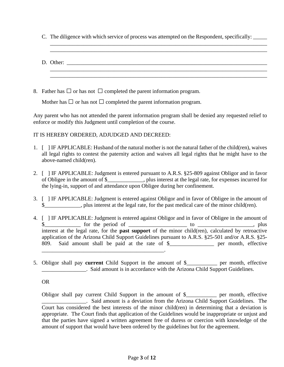- C. The diligence with which service of process was attempted on the Respondent, specifically: \_\_\_\_\_
- D. Other: \_\_\_\_\_\_\_\_\_\_\_\_\_\_\_\_\_\_\_\_\_\_\_\_\_\_\_\_\_\_\_\_\_\_\_\_\_\_\_\_\_\_\_\_\_\_\_\_\_\_\_\_\_\_\_\_\_\_\_\_\_\_\_\_\_\_\_\_\_\_\_\_ \_\_\_\_\_\_\_\_\_\_\_\_\_\_\_\_\_\_\_\_\_\_\_\_\_\_\_\_\_\_\_\_\_\_\_\_\_\_\_\_\_\_\_\_\_\_\_\_\_\_\_\_\_\_\_\_\_\_\_\_\_\_\_\_\_\_\_\_\_\_\_\_\_\_\_\_\_\_ \_\_\_\_\_\_\_\_\_\_\_\_\_\_\_\_\_\_\_\_\_\_\_\_\_\_\_\_\_\_\_\_\_\_\_\_\_\_\_\_\_\_\_\_\_\_\_\_\_\_\_\_\_\_\_\_\_\_\_\_\_\_\_\_\_\_\_\_\_\_\_\_\_\_\_\_\_\_

\_\_\_\_\_\_\_\_\_\_\_\_\_\_\_\_\_\_\_\_\_\_\_\_\_\_\_\_\_\_\_\_\_\_\_\_\_\_\_\_\_\_\_\_\_\_\_\_\_\_\_\_\_\_\_\_\_\_\_\_\_\_\_\_\_\_\_\_\_\_\_\_\_\_\_\_\_\_ \_\_\_\_\_\_\_\_\_\_\_\_\_\_\_\_\_\_\_\_\_\_\_\_\_\_\_\_\_\_\_\_\_\_\_\_\_\_\_\_\_\_\_\_\_\_\_\_\_\_\_\_\_\_\_\_\_\_\_\_\_\_\_\_\_\_\_\_\_\_\_\_\_\_\_\_\_\_

8. Father has  $\Box$  or has not  $\Box$  completed the parent information program.

Mother has  $\Box$  or has not  $\Box$  completed the parent information program.

Any parent who has not attended the parent information program shall be denied any requested relief to enforce or modify this Judgment until completion of the course.

#### IT IS HEREBY ORDERED, ADJUDGED AND DECREED:

- 1. [ ] IF APPLICABLE: Husband of the natural mother is not the natural father of the child(ren), waives all legal rights to contest the paternity action and waives all legal rights that he might have to the above-named child(ren).
- 2. [ ] IF APPLICABLE: Judgment is entered pursuant to A.R.S. §25-809 against Obligor and in favor of Obligee in the amount of \$\_\_\_\_\_\_\_\_\_\_\_\_\_, plus interest at the legal rate, for expenses incurred for the lying-in, support of and attendance upon Obligee during her confinement.
- 3. [ ] IF APPLICABLE: Judgment is entered against Obligor and in favor of Obligee in the amount of  $\$\$ . plus interest at the legal rate, for the past medical care of the minor child(ren).
- 4. [ ] IF APPLICABLE: Judgment is entered against Obligor and in favor of Obligee in the amount of \$\_\_\_\_\_\_\_\_\_\_\_\_\_ for the period of \_\_\_\_\_\_\_\_\_\_\_\_\_\_\_\_\_\_\_\_\_ to \_\_\_\_\_\_\_\_\_\_\_\_\_\_\_\_\_\_\_\_, plus interest at the legal rate, for the **past support** of the minor child(ren), calculated by retroactive application of the Arizona Child Support Guidelines pursuant to A.R.S. §25-501 and/or A.R.S. §25- 809. Said amount shall be paid at the rate of \$\_\_\_\_\_\_\_\_\_\_\_\_\_\_\_\_ per month, effective  $\mathcal{L}=\mathcal{L}^{\text{max}}$
- 5. Obligor shall pay **current** Child Support in the amount of \$\_\_\_\_\_\_\_\_\_\_\_ per month, effective \_\_\_\_\_\_\_\_\_\_\_\_\_\_\_\_. Said amount is in accordance with the Arizona Child Support Guidelines.

#### OR

Obligor shall pay current Child Support in the amount of \$\_\_\_\_\_\_\_\_\_\_\_ per month, effective **Example 2.** Said amount is a deviation from the Arizona Child Support Guidelines. The Court has considered the best interests of the minor child(ren) in determining that a deviation is appropriate. The Court finds that application of the Guidelines would be inappropriate or unjust and that the parties have signed a written agreement free of duress or coercion with knowledge of the amount of support that would have been ordered by the guidelines but for the agreement.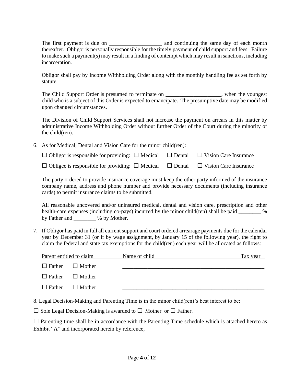The first payment is due on \_\_\_\_\_\_\_\_\_\_\_\_\_\_\_\_\_\_\_ and continuing the same day of each month thereafter. Obligor is personally responsible for the timely payment of child support and fees. Failure to make such a payment(s) may result in a finding of contempt which may result in sanctions, including incarceration.

Obligor shall pay by Income Withholding Order along with the monthly handling fee as set forth by statute.

The Child Support Order is presumed to terminate on \_\_\_\_\_\_\_\_\_\_\_\_\_\_\_\_, when the youngest child who is a subject of this Order is expected to emancipate. The presumptive date may be modified upon changed circumstances.

The Division of Child Support Services shall not increase the payment on arrears in this matter by administrative Income Withholding Order without further Order of the Court during the minority of the child(ren).

6. As for Medical, Dental and Vision Care for the minor child(ren):

| $\Box$ Obligor is responsible for providing: $\Box$ Medical $\Box$ Dental $\Box$ Vision Care Insurance |  |  |
|--------------------------------------------------------------------------------------------------------|--|--|
|                                                                                                        |  |  |

| $\Box$ Obligee is responsible for providing: $\Box$ Medical $\Box$ Dental $\Box$ Vision Care Insurance |  |  |
|--------------------------------------------------------------------------------------------------------|--|--|
|--------------------------------------------------------------------------------------------------------|--|--|

The party ordered to provide insurance coverage must keep the other party informed of the insurance company name, address and phone number and provide necessary documents (including insurance cards) to permit insurance claims to be submitted.

All reasonable uncovered and/or uninsured medical, dental and vision care, prescription and other health-care expenses (including co-pays) incurred by the minor child(ren) shall be paid \_\_\_\_\_\_\_\_ % by Father and \_\_\_\_\_\_\_\_ % by Mother.

7. If Obligor has paid in full all current support and court ordered arrearage payments due for the calendar year by December 31 (or if by wage assignment, by January 15 of the following year), the right to claim the federal and state tax exemptions for the child(ren) each year will be allocated as follows:

| Parent entitled to claim |                             | Name of child | Tax year |
|--------------------------|-----------------------------|---------------|----------|
|                          | $\Box$ Father $\Box$ Mother |               |          |
|                          | $\Box$ Father $\Box$ Mother |               |          |
|                          | $\Box$ Father $\Box$ Mother |               |          |

8. Legal Decision-Making and Parenting Time is in the minor child(ren)'s best interest to be:

 $\Box$  Sole Legal Decision-Making is awarded to  $\Box$  Mother or  $\Box$  Father.

 $\square$  Parenting time shall be in accordance with the Parenting Time schedule which is attached hereto as Exhibit "A" and incorporated herein by reference,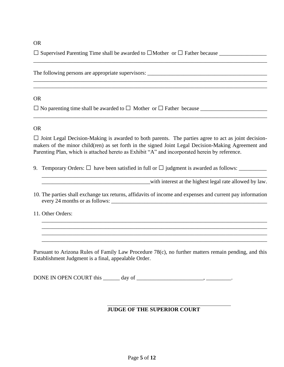#### OR

□Supervised Parenting Time shall be awarded to □Mother or □Father because \_\_\_\_\_\_\_\_\_\_\_\_\_\_\_\_\_

The following persons are appropriate supervisors: \_\_\_\_\_\_\_\_\_\_\_\_\_\_\_\_\_\_\_\_\_\_\_\_\_\_\_\_\_\_

#### OR

□ No parenting time shall be awarded to□ Mother or □Father because \_\_\_\_\_\_\_\_\_\_\_\_\_\_\_\_\_\_\_\_\_\_\_\_

#### OR

 $\square$  Joint Legal Decision-Making is awarded to both parents. The parties agree to act as joint decisionmakers of the minor child(ren) as set forth in the signed Joint Legal Decision-Making Agreement and Parenting Plan, which is attached hereto as Exhibit "A" and incorporated herein by reference.

\_\_\_\_\_\_\_\_\_\_\_\_\_\_\_\_\_\_\_\_\_\_\_\_\_\_\_\_\_\_\_\_\_\_\_\_\_\_\_\_\_\_\_\_\_\_\_\_\_\_\_\_\_\_\_\_\_\_\_\_\_\_\_\_\_\_\_\_\_\_\_\_\_\_\_\_\_\_\_\_\_\_\_\_

\_\_\_\_\_\_\_\_\_\_\_\_\_\_\_\_\_\_\_\_\_\_\_\_\_\_\_\_\_\_\_\_\_\_\_\_\_\_\_\_\_\_\_\_\_\_\_\_\_\_\_\_\_\_\_\_\_\_\_\_\_\_\_\_\_\_\_\_\_\_\_\_\_\_\_\_\_\_\_\_\_\_\_\_ \_\_\_\_\_\_\_\_\_\_\_\_\_\_\_\_\_\_\_\_\_\_\_\_\_\_\_\_\_\_\_\_\_\_\_\_\_\_\_\_\_\_\_\_\_\_\_\_\_\_\_\_\_\_\_\_\_\_\_\_\_\_\_\_\_\_\_\_\_\_\_\_\_\_\_\_\_\_\_\_\_\_\_\_

9. Temporary Orders: □ have been satisfied in full or □judgment is awarded as follows: \_\_\_\_\_\_\_\_\_\_

with interest at the highest legal rate allowed by law.

10. The parties shall exchange tax returns, affidavits of income and expenses and current pay information every 24 months or as follows: \_\_\_\_\_\_\_\_\_\_\_\_\_\_\_\_\_\_\_\_\_\_\_\_\_\_\_\_\_\_\_\_\_\_\_\_\_\_\_\_\_\_\_\_\_\_\_\_\_\_\_\_\_\_\_\_

\_\_\_\_\_\_\_\_\_\_\_\_\_\_\_\_\_\_\_\_\_\_\_\_\_\_\_\_\_\_\_\_\_\_\_\_\_\_\_\_\_\_\_\_\_\_\_\_\_\_\_\_\_\_\_\_\_\_\_\_\_\_\_\_\_\_\_\_\_\_\_\_\_\_\_\_\_\_\_\_\_ \_\_\_\_\_\_\_\_\_\_\_\_\_\_\_\_\_\_\_\_\_\_\_\_\_\_\_\_\_\_\_\_\_\_\_\_\_\_\_\_\_\_\_\_\_\_\_\_\_\_\_\_\_\_\_\_\_\_\_\_\_\_\_\_\_\_\_\_\_\_\_\_\_\_\_\_\_\_\_\_\_ \_\_\_\_\_\_\_\_\_\_\_\_\_\_\_\_\_\_\_\_\_\_\_\_\_\_\_\_\_\_\_\_\_\_\_\_\_\_\_\_\_\_\_\_\_\_\_\_\_\_\_\_\_\_\_\_\_\_\_\_\_\_\_\_\_\_\_\_\_\_\_\_\_\_\_\_\_\_\_\_\_

\_\_\_\_\_\_\_\_\_\_\_\_\_\_\_\_\_\_\_\_\_\_\_\_\_\_\_\_\_\_\_\_\_\_\_\_\_\_\_\_\_\_\_\_\_\_\_\_\_\_\_\_\_\_\_\_\_\_\_\_\_\_\_\_\_\_\_\_\_\_\_\_\_\_\_\_\_\_\_\_\_

11. Other Orders:

Pursuant to Arizona Rules of Family Law Procedure 78(c), no further matters remain pending, and this Establishment Judgment is a final, appealable Order.

DONE IN OPEN COURT this \_\_\_\_\_\_ day of \_\_\_\_\_\_\_\_\_\_\_\_\_\_\_\_\_\_\_\_\_\_\_\_, \_\_\_\_\_\_\_\_\_.

#### **JUDGE OF THE SUPERIOR COURT**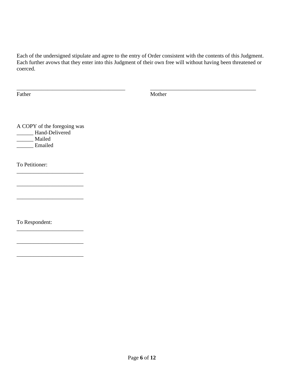Each of the undersigned stipulate and agree to the entry of Order consistent with the contents of this Judgment. Each further avows that they enter into this Judgment of their own free will without having been threatened or coerced.

\_\_\_\_\_\_\_\_\_\_\_\_\_\_\_\_\_\_\_\_\_\_\_\_\_\_\_\_\_\_\_\_\_\_\_\_\_\_\_ \_\_\_\_\_\_\_\_\_\_\_\_\_\_\_\_\_\_\_\_\_\_\_\_\_\_\_\_\_\_\_\_\_\_\_\_\_\_

Father Mother Mother

A COPY of the foregoing was **\_\_\_\_\_\_** Hand-Delivered \_\_\_\_\_\_ Mailed \_\_\_\_\_\_ Emailed

\_\_\_\_\_\_\_\_\_\_\_\_\_\_\_\_\_\_\_\_\_\_\_\_

\_\_\_\_\_\_\_\_\_\_\_\_\_\_\_\_\_\_\_\_\_\_\_\_

\_\_\_\_\_\_\_\_\_\_\_\_\_\_\_\_\_\_\_\_\_\_\_\_

\_\_\_\_\_\_\_\_\_\_\_\_\_\_\_\_\_\_\_\_\_\_\_\_

\_\_\_\_\_\_\_\_\_\_\_\_\_\_\_\_\_\_\_\_\_\_\_\_

 $\_$ 

To Petitioner:

To Respondent: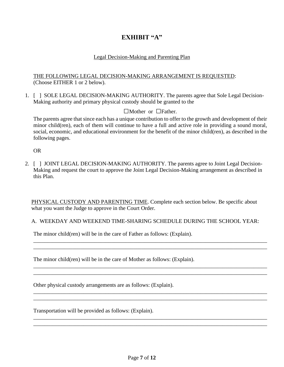### **EXHIBIT "A"**

#### Legal Decision-Making and Parenting Plan

#### THE FOLLOWING LEGAL DECISION-MAKING ARRANGEMENT IS REQUESTED: (Choose EITHER 1 or 2 below).

1. [ ] SOLE LEGAL DECISION-MAKING AUTHORITY. The parents agree that Sole Legal Decision-Making authority and primary physical custody should be granted to the

#### □Mother or □Father.

The parents agree that since each has a unique contribution to offer to the growth and development of their minor child(ren), each of them will continue to have a full and active role in providing a sound moral, social, economic, and educational environment for the benefit of the minor child(ren), as described in the following pages.

OR

2. [ ] JOINT LEGAL DECISION-MAKING AUTHORITY. The parents agree to Joint Legal Decision-Making and request the court to approve the Joint Legal Decision-Making arrangement as described in this Plan.

PHYSICAL CUSTODY AND PARENTING TIME. Complete each section below. Be specific about what you want the Judge to approve in the Court Order.

#### A. WEEKDAY AND WEEKEND TIME-SHARING SCHEDULE DURING THE SCHOOL YEAR:

\_\_\_\_\_\_\_\_\_\_\_\_\_\_\_\_\_\_\_\_\_\_\_\_\_\_\_\_\_\_\_\_\_\_\_\_\_\_\_\_\_\_\_\_\_\_\_\_\_\_\_\_\_\_\_\_\_\_\_\_\_\_\_\_\_\_\_\_\_\_\_\_\_\_\_\_\_\_\_\_\_\_\_\_ \_\_\_\_\_\_\_\_\_\_\_\_\_\_\_\_\_\_\_\_\_\_\_\_\_\_\_\_\_\_\_\_\_\_\_\_\_\_\_\_\_\_\_\_\_\_\_\_\_\_\_\_\_\_\_\_\_\_\_\_\_\_\_\_\_\_\_\_\_\_\_\_\_\_\_\_\_\_\_\_\_\_\_\_

\_\_\_\_\_\_\_\_\_\_\_\_\_\_\_\_\_\_\_\_\_\_\_\_\_\_\_\_\_\_\_\_\_\_\_\_\_\_\_\_\_\_\_\_\_\_\_\_\_\_\_\_\_\_\_\_\_\_\_\_\_\_\_\_\_\_\_\_\_\_\_\_\_\_\_\_\_\_\_\_\_\_\_\_

\_\_\_\_\_\_\_\_\_\_\_\_\_\_\_\_\_\_\_\_\_\_\_\_\_\_\_\_\_\_\_\_\_\_\_\_\_\_\_\_\_\_\_\_\_\_\_\_\_\_\_\_\_\_\_\_\_\_\_\_\_\_\_\_\_\_\_\_\_\_\_\_\_\_\_\_\_\_\_\_\_\_\_\_ \_\_\_\_\_\_\_\_\_\_\_\_\_\_\_\_\_\_\_\_\_\_\_\_\_\_\_\_\_\_\_\_\_\_\_\_\_\_\_\_\_\_\_\_\_\_\_\_\_\_\_\_\_\_\_\_\_\_\_\_\_\_\_\_\_\_\_\_\_\_\_\_\_\_\_\_\_\_\_\_\_\_\_\_

\_\_\_\_\_\_\_\_\_\_\_\_\_\_\_\_\_\_\_\_\_\_\_\_\_\_\_\_\_\_\_\_\_\_\_\_\_\_\_\_\_\_\_\_\_\_\_\_\_\_\_\_\_\_\_\_\_\_\_\_\_\_\_\_\_\_\_\_\_\_\_\_\_\_\_\_\_\_\_\_\_\_\_\_ \_\_\_\_\_\_\_\_\_\_\_\_\_\_\_\_\_\_\_\_\_\_\_\_\_\_\_\_\_\_\_\_\_\_\_\_\_\_\_\_\_\_\_\_\_\_\_\_\_\_\_\_\_\_\_\_\_\_\_\_\_\_\_\_\_\_\_\_\_\_\_\_\_\_\_\_\_\_\_\_\_\_\_\_

The minor child(ren) will be in the care of Father as follows: (Explain).

The minor child(ren) will be in the care of Mother as follows: (Explain).

Other physical custody arrangements are as follows: (Explain).

Transportation will be provided as follows: (Explain).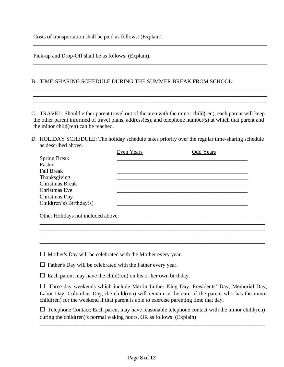Costs of transportation shall be paid as follows: (Explain).

Pick-up and Drop-Off shall be as follows: (Explain).

#### B. TIME-SHARING SCHEDULE DURING THE SUMMER BREAK FROM SCHOOL:

C. TRAVEL: Should either parent travel out of the area with the minor child(ren), each parent will keep the other parent informed of travel plans, address(es), and telephone number(s) at which that parent and the minor child(ren) can be reached.

\_\_\_\_\_\_\_\_\_\_\_\_\_\_\_\_\_\_\_\_\_\_\_\_\_\_\_\_\_\_\_\_\_\_\_\_\_\_\_\_\_\_\_\_\_\_\_\_\_\_\_\_\_\_\_\_\_\_\_\_\_\_\_\_\_\_\_\_\_\_\_\_\_\_\_\_\_\_\_\_\_\_\_\_

\_\_\_\_\_\_\_\_\_\_\_\_\_\_\_\_\_\_\_\_\_\_\_\_\_\_\_\_\_\_\_\_\_\_\_\_\_\_\_\_\_\_\_\_\_\_\_\_\_\_\_\_\_\_\_\_\_\_\_\_\_\_\_\_\_\_\_\_\_\_\_\_\_\_\_\_\_\_\_\_\_\_\_\_ \_\_\_\_\_\_\_\_\_\_\_\_\_\_\_\_\_\_\_\_\_\_\_\_\_\_\_\_\_\_\_\_\_\_\_\_\_\_\_\_\_\_\_\_\_\_\_\_\_\_\_\_\_\_\_\_\_\_\_\_\_\_\_\_\_\_\_\_\_\_\_\_\_\_\_\_\_\_\_\_\_\_\_\_

\_\_\_\_\_\_\_\_\_\_\_\_\_\_\_\_\_\_\_\_\_\_\_\_\_\_\_\_\_\_\_\_\_\_\_\_\_\_\_\_\_\_\_\_\_\_\_\_\_\_\_\_\_\_\_\_\_\_\_\_\_\_\_\_\_\_\_\_\_\_\_\_\_\_\_\_\_\_\_\_\_\_\_\_ \_\_\_\_\_\_\_\_\_\_\_\_\_\_\_\_\_\_\_\_\_\_\_\_\_\_\_\_\_\_\_\_\_\_\_\_\_\_\_\_\_\_\_\_\_\_\_\_\_\_\_\_\_\_\_\_\_\_\_\_\_\_\_\_\_\_\_\_\_\_\_\_\_\_\_\_\_\_\_\_\_\_\_\_ \_\_\_\_\_\_\_\_\_\_\_\_\_\_\_\_\_\_\_\_\_\_\_\_\_\_\_\_\_\_\_\_\_\_\_\_\_\_\_\_\_\_\_\_\_\_\_\_\_\_\_\_\_\_\_\_\_\_\_\_\_\_\_\_\_\_\_\_\_\_\_\_\_\_\_\_\_\_\_\_\_\_\_\_

D. HOLIDAY SCHEDULE: The holiday schedule takes priority over the regular time-sharing schedule as described above.

|                          | Even Years | <b>Odd Years</b> |  |
|--------------------------|------------|------------------|--|
| <b>Spring Break</b>      |            |                  |  |
| Easter                   |            |                  |  |
| <b>Fall Break</b>        |            |                  |  |
| Thanksgiving             |            |                  |  |
| <b>Christmas Break</b>   |            |                  |  |
| Christmas Eve            |            |                  |  |
| Christmas Day            |            |                  |  |
| Child(ren's) Birthday(s) |            |                  |  |
|                          |            |                  |  |
|                          |            |                  |  |
|                          |            |                  |  |
|                          |            |                  |  |
|                          |            |                  |  |

 $\square$  Mother's Day will be celebrated with the Mother every year.

 $\square$  Father's Day will be celebrated with the Father every year.

 $\square$  Each parent may have the child(ren) on his or her own birthday.

 $\square$  Three-day weekends which include Martin Luther King Day, Presidents' Day, Memorial Day, Labor Day, Columbus Day, the child(ren) will remain in the care of the parent who has the minor child(ren) for the weekend if that parent is able to exercise parenting time that day.

 $\Box$  Telephone Contact: Each parent may have reasonable telephone contact with the minor child(ren) during the child(ren)'s normal waking hours, OR as follows: (Explain)

\_\_\_\_\_\_\_\_\_\_\_\_\_\_\_\_\_\_\_\_\_\_\_\_\_\_\_\_\_\_\_\_\_\_\_\_\_\_\_\_\_\_\_\_\_\_\_\_\_\_\_\_\_\_\_\_\_\_\_\_\_\_\_\_\_\_\_\_\_\_\_\_\_\_\_\_\_\_\_\_\_ \_\_\_\_\_\_\_\_\_\_\_\_\_\_\_\_\_\_\_\_\_\_\_\_\_\_\_\_\_\_\_\_\_\_\_\_\_\_\_\_\_\_\_\_\_\_\_\_\_\_\_\_\_\_\_\_\_\_\_\_\_\_\_\_\_\_\_\_\_\_\_\_\_\_\_\_\_\_\_\_\_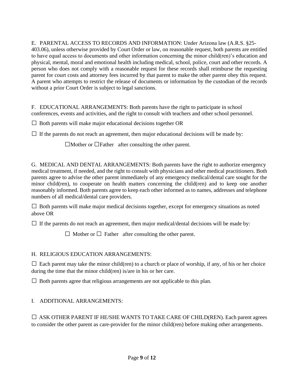#### E. PARENTAL ACCESS TO RECORDS AND INFORMATION: Under Arizona law (A.R.S. §25-

403.06), unless otherwise provided by Court Order or law, on reasonable request, both parents are entitled to have equal access to documents and other information concerning the minor child(ren)'s education and physical, mental, moral and emotional health including medical, school, police, court and other records. A person who does not comply with a reasonable request for these records shall reimburse the requesting parent for court costs and attorney fees incurred by that parent to make the other parent obey this request. A parent who attempts to restrict the release of documents or information by the custodian of the records without a prior Court Order is subject to legal sanctions.

F. EDUCATIONAL ARRANGEMENTS: Both parents have the right to participate in school conferences, events and activities, and the right to consult with teachers and other school personnel.

 $\square$  Both parents will make major educational decisions together OR

 $\Box$  If the parents do not reach an agreement, then major educational decisions will be made by:

 $\Box$ Mother or  $\Box$ Father after consulting the other parent.

G. MEDICAL AND DENTAL ARRANGEMENTS: Both parents have the right to authorize emergency medical treatment, if needed, and the right to consult with physicians and other medical practitioners. Both parents agree to advise the other parent immediately of any emergency medical/dental care sought for the minor child(ren), to cooperate on health matters concerning the child(ren) and to keep one another reasonably informed. Both parents agree to keep each other informed as to names, addresses and telephone numbers of all medical/dental care providers.

 $\Box$  Both parents will make major medical decisions together, except for emergency situations as noted above OR

 $\Box$  If the parents do not reach an agreement, then major medical/dental decisions will be made by:

 $\Box$  Mother or  $\Box$  Father after consulting the other parent.

#### H. RELIGIOUS EDUCATION ARRANGEMENTS:

 $\Box$  Each parent may take the minor child(ren) to a church or place of worship, if any, of his or her choice during the time that the minor child(ren) is/are in his or her care.

 $\Box$  Both parents agree that religious arrangements are not applicable to this plan.

#### I. ADDITIONAL ARRANGEMENTS:

 $\square$  ASK OTHER PARENT IF HE/SHE WANTS TO TAKE CARE OF CHILD(REN). Each parent agrees to consider the other parent as care-provider for the minor child(ren) before making other arrangements.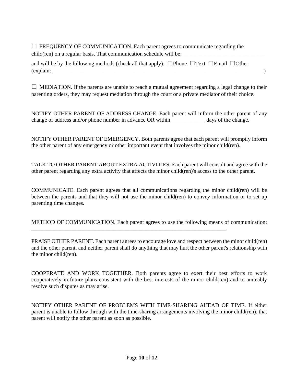| $\Box$ FREQUENCY OF COMMUNICATION. Each parent agrees to communicate regarding the<br>child(ren) on a regular basis. That communication schedule will be: |  |
|-----------------------------------------------------------------------------------------------------------------------------------------------------------|--|
| and will be by the following methods (check all that apply): $\Box$ Phone $\Box$ Text $\Box$ Email $\Box$ Other<br>(explain:                              |  |

 $\Box$  MEDIATION. If the parents are unable to reach a mutual agreement regarding a legal change to their parenting orders, they may request mediation through the court or a private mediator of their choice.

NOTIFY OTHER PARENT OF ADDRESS CHANGE. Each parent will inform the other parent of any change of address and/or phone number in advance OR within \_\_\_\_\_\_\_\_\_\_\_\_\_\_ days of the change.

NOTIFY OTHER PARENT OF EMERGENCY. Both parents agree that each parent will promptly inform the other parent of any emergency or other important event that involves the minor child(ren).

TALK TO OTHER PARENT ABOUT EXTRA ACTIVITIES. Each parent will consult and agree with the other parent regarding any extra activity that affects the minor child(ren)'s access to the other parent.

COMMUNICATE. Each parent agrees that all communications regarding the minor child(ren) will be between the parents and that they will not use the minor child(ren) to convey information or to set up parenting time changes.

METHOD OF COMMUNICATION. Each parent agrees to use the following means of communication:

\_\_\_\_\_\_\_\_\_\_\_\_\_\_\_\_\_\_\_\_\_\_\_\_\_\_\_\_\_\_\_\_\_\_\_\_\_\_\_\_\_\_\_\_\_\_\_\_\_\_\_\_\_\_\_\_\_\_\_\_\_\_\_\_\_\_\_\_\_\_.

PRAISE OTHER PARENT. Each parent agrees to encourage love and respect between the minor child(ren) and the other parent, and neither parent shall do anything that may hurt the other parent's relationship with the minor child(ren).

COOPERATE AND WORK TOGETHER. Both parents agree to exert their best efforts to work cooperatively in future plans consistent with the best interests of the minor child(ren) and to amicably resolve such disputes as may arise.

NOTIFY OTHER PARENT OF PROBLEMS WITH TIME-SHARING AHEAD OF TIME. If either parent is unable to follow through with the time-sharing arrangements involving the minor child(ren), that parent will notify the other parent as soon as possible.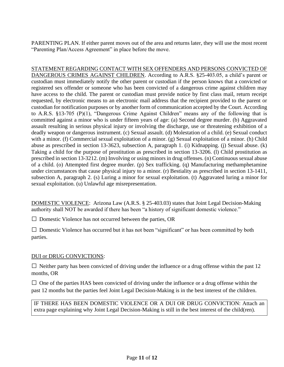PARENTING PLAN. If either parent moves out of the area and returns later, they will use the most recent "Parenting Plan/Access Agreement" in place before the move.

STATEMENT REGARDING CONTACT WITH SEX OFFENDERS AND PERSONS CONVICTED OF DANGEROUS CRIMES AGAINST CHILDREN. According to A.R.S. §25-403.05, a child's parent or custodian must immediately notify the other parent or custodian if the person knows that a convicted or registered sex offender or someone who has been convicted of a dangerous crime against children may have access to the child. The parent or custodian must provide notice by first class mail, return receipt requested, by electronic means to an electronic mail address that the recipient provided to the parent or custodian for notification purposes or by another form of communication accepted by the Court. According to A.R.S. §13-705 (P)(1), "Dangerous Crime Against Children" means any of the following that is committed against a minor who is under fifteen years of age: (a) Second degree murder. (b) Aggravated assault resulting in serious physical injury or involving the discharge, use or threatening exhibition of a deadly weapon or dangerous instrument. (c) Sexual assault. (d) Molestation of a child. (e) Sexual conduct with a minor. (f) Commercial sexual exploitation of a minor. (g) Sexual exploitation of a minor. (h) Child abuse as prescribed in section 13-3623, subsection A, paragraph 1. (i) Kidnapping. (j) Sexual abuse. (k) Taking a child for the purpose of prostitution as prescribed in section 13-3206. (l) Child prostitution as prescribed in section 13-3212. (m) Involving or using minors in drug offenses. (n) Continuous sexual abuse of a child. (o) Attempted first degree murder. (p) Sex trafficking. (q) Manufacturing methamphetamine under circumstances that cause physical injury to a minor. (r) Bestiality as prescribed in section 13-1411, subsection A, paragraph 2. (s) Luring a minor for sexual exploitation. (t) Aggravated luring a minor for sexual exploitation. (u) Unlawful age misrepresentation.

DOMESTIC VIOLENCE: Arizona Law (A.R.S. § 25-403.03) states that Joint Legal Decision-Making authority shall NOT be awarded if there has been "a history of significant domestic violence."

 $\square$  Domestic Violence has not occurred between the parties, OR

 $\Box$  Domestic Violence has occurred but it has not been "significant" or has been committed by both parties.

#### DUI or DRUG CONVICTIONS:

 $\Box$  Neither party has been convicted of driving under the influence or a drug offense within the past 12 months, OR

 $\square$  One of the parties HAS been convicted of driving under the influence or a drug offense within the past 12 months but the parties feel Joint Legal Decision-Making is in the best interest of the children.

IF THERE HAS BEEN DOMESTIC VIOLENCE OR A DUI OR DRUG CONVICTION: Attach an extra page explaining why Joint Legal Decision-Making is still in the best interest of the child(ren).